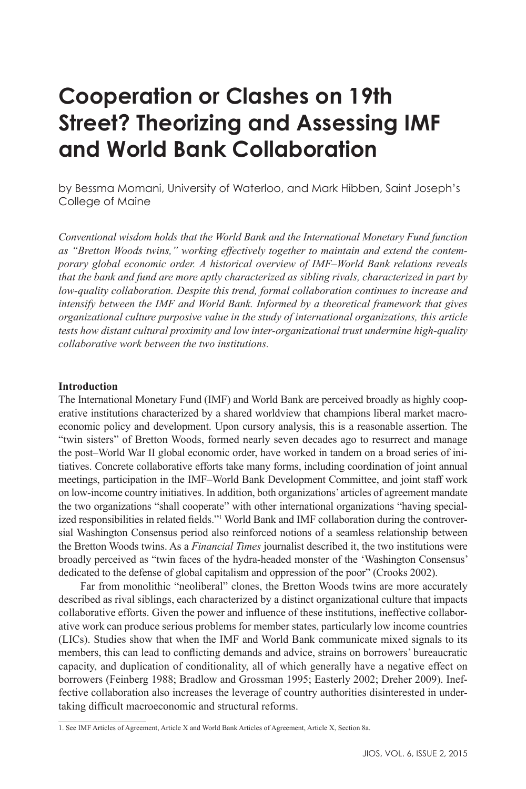# **Cooperation or Clashes on 19th Street? Theorizing and Assessing IMF and World Bank Collaboration**

by Bessma Momani, University of Waterloo, and Mark Hibben, Saint Joseph's College of Maine

*Conventional wisdom holds that the World Bank and the International Monetary Fund function as "Bretton Woods twins," working effectively together to maintain and extend the contemporary global economic order. A historical overview of IMF–World Bank relations reveals that the bank and fund are more aptly characterized as sibling rivals, characterized in part by low-quality collaboration. Despite this trend, formal collaboration continues to increase and intensify between the IMF and World Bank. Informed by a theoretical framework that gives organizational culture purposive value in the study of international organizations, this article tests how distant cultural proximity and low inter-organizational trust undermine high-quality collaborative work between the two institutions.* 

# **Introduction**

The International Monetary Fund (IMF) and World Bank are perceived broadly as highly cooperative institutions characterized by a shared worldview that champions liberal market macroeconomic policy and development. Upon cursory analysis, this is a reasonable assertion. The "twin sisters" of Bretton Woods, formed nearly seven decades ago to resurrect and manage the post–World War II global economic order, have worked in tandem on a broad series of initiatives. Concrete collaborative efforts take many forms, including coordination of joint annual meetings, participation in the IMF–World Bank Development Committee, and joint staff work on low-income country initiatives. In addition, both organizations' articles of agreement mandate the two organizations "shall cooperate" with other international organizations "having specialized responsibilities in related fields."<sup>1</sup> World Bank and IMF collaboration during the controversial Washington Consensus period also reinforced notions of a seamless relationship between the Bretton Woods twins. As a *Financial Times* journalist described it, the two institutions were broadly perceived as "twin faces of the hydra-headed monster of the 'Washington Consensus' dedicated to the defense of global capitalism and oppression of the poor" (Crooks 2002).

Far from monolithic "neoliberal" clones, the Bretton Woods twins are more accurately described as rival siblings, each characterized by a distinct organizational culture that impacts collaborative efforts. Given the power and influence of these institutions, ineffective collaborative work can produce serious problems for member states, particularly low income countries (LICs). Studies show that when the IMF and World Bank communicate mixed signals to its members, this can lead to conflicting demands and advice, strains on borrowers' bureaucratic capacity, and duplication of conditionality, all of which generally have a negative effect on borrowers (Feinberg 1988; Bradlow and Grossman 1995; Easterly 2002; Dreher 2009). Ineffective collaboration also increases the leverage of country authorities disinterested in undertaking difficult macroeconomic and structural reforms.

<sup>1.</sup> See IMF Articles of Agreement, Article X and World Bank Articles of Agreement, Article X, Section 8a.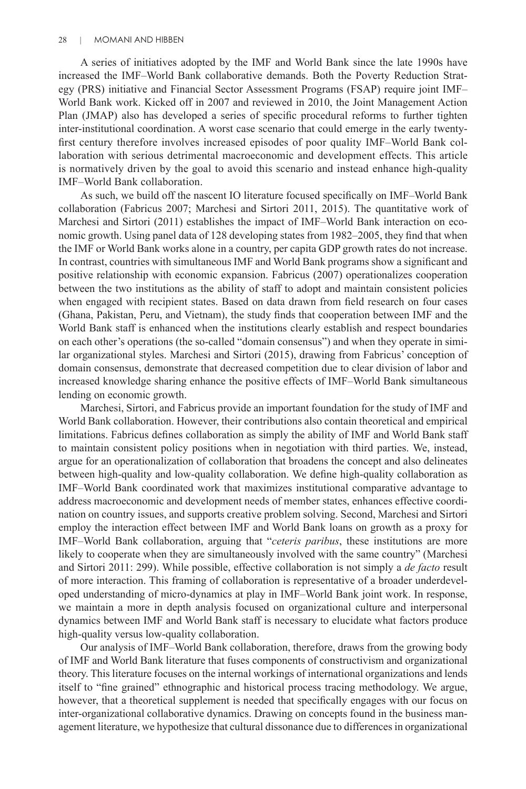A series of initiatives adopted by the IMF and World Bank since the late 1990s have increased the IMF–World Bank collaborative demands. Both the Poverty Reduction Strategy (PRS) initiative and Financial Sector Assessment Programs (FSAP) require joint IMF– World Bank work. Kicked off in 2007 and reviewed in 2010, the Joint Management Action Plan (JMAP) also has developed a series of specific procedural reforms to further tighten inter-institutional coordination. A worst case scenario that could emerge in the early twentyfirst century therefore involves increased episodes of poor quality IMF–World Bank collaboration with serious detrimental macroeconomic and development effects. This article is normatively driven by the goal to avoid this scenario and instead enhance high-quality IMF–World Bank collaboration.

As such, we build off the nascent IO literature focused specifically on IMF–World Bank collaboration (Fabricus 2007; Marchesi and Sirtori 2011, 2015). The quantitative work of Marchesi and Sirtori (2011) establishes the impact of IMF–World Bank interaction on economic growth. Using panel data of 128 developing states from 1982–2005, they find that when the IMF or World Bank works alone in a country, per capita GDP growth rates do not increase. In contrast, countries with simultaneous IMF and World Bank programs show a significant and positive relationship with economic expansion. Fabricus (2007) operationalizes cooperation between the two institutions as the ability of staff to adopt and maintain consistent policies when engaged with recipient states. Based on data drawn from field research on four cases (Ghana, Pakistan, Peru, and Vietnam), the study finds that cooperation between IMF and the World Bank staff is enhanced when the institutions clearly establish and respect boundaries on each other's operations (the so-called "domain consensus") and when they operate in similar organizational styles. Marchesi and Sirtori (2015), drawing from Fabricus' conception of domain consensus, demonstrate that decreased competition due to clear division of labor and increased knowledge sharing enhance the positive effects of IMF–World Bank simultaneous lending on economic growth.

Marchesi, Sirtori, and Fabricus provide an important foundation for the study of IMF and World Bank collaboration. However, their contributions also contain theoretical and empirical limitations. Fabricus defines collaboration as simply the ability of IMF and World Bank staff to maintain consistent policy positions when in negotiation with third parties. We, instead, argue for an operationalization of collaboration that broadens the concept and also delineates between high-quality and low-quality collaboration. We define high-quality collaboration as IMF–World Bank coordinated work that maximizes institutional comparative advantage to address macroeconomic and development needs of member states, enhances effective coordination on country issues, and supports creative problem solving. Second, Marchesi and Sirtori employ the interaction effect between IMF and World Bank loans on growth as a proxy for IMF–World Bank collaboration, arguing that "*ceteris paribus*, these institutions are more likely to cooperate when they are simultaneously involved with the same country" (Marchesi and Sirtori 2011: 299). While possible, effective collaboration is not simply a *de facto* result of more interaction. This framing of collaboration is representative of a broader underdeveloped understanding of micro-dynamics at play in IMF–World Bank joint work. In response, we maintain a more in depth analysis focused on organizational culture and interpersonal dynamics between IMF and World Bank staff is necessary to elucidate what factors produce high-quality versus low-quality collaboration.

Our analysis of IMF–World Bank collaboration, therefore, draws from the growing body of IMF and World Bank literature that fuses components of constructivism and organizational theory. This literature focuses on the internal workings of international organizations and lends itself to "fine grained" ethnographic and historical process tracing methodology. We argue, however, that a theoretical supplement is needed that specifically engages with our focus on inter-organizational collaborative dynamics. Drawing on concepts found in the business management literature, we hypothesize that cultural dissonance due to differences in organizational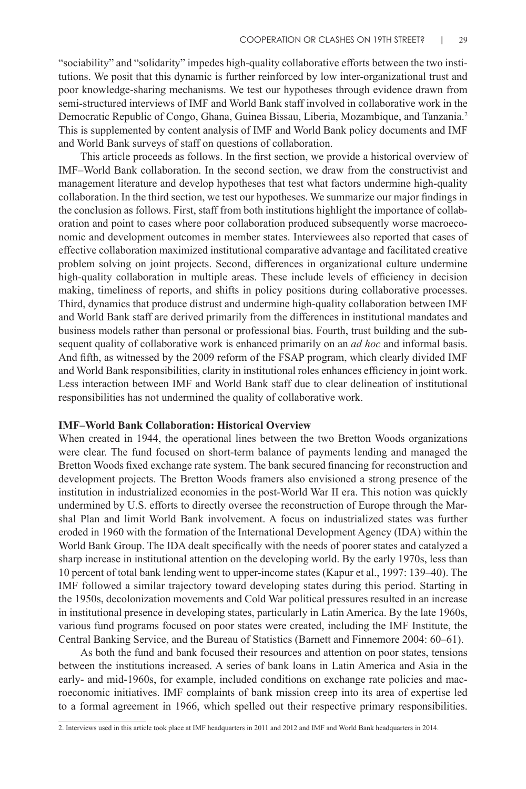"sociability" and "solidarity" impedes high-quality collaborative efforts between the two institutions. We posit that this dynamic is further reinforced by low inter-organizational trust and poor knowledge-sharing mechanisms. We test our hypotheses through evidence drawn from semi-structured interviews of IMF and World Bank staff involved in collaborative work in the Democratic Republic of Congo, Ghana, Guinea Bissau, Liberia, Mozambique, and Tanzania.2 This is supplemented by content analysis of IMF and World Bank policy documents and IMF and World Bank surveys of staff on questions of collaboration.

This article proceeds as follows. In the first section, we provide a historical overview of IMF–World Bank collaboration. In the second section, we draw from the constructivist and management literature and develop hypotheses that test what factors undermine high-quality collaboration. In the third section, we test our hypotheses. We summarize our major findings in the conclusion as follows. First, staff from both institutions highlight the importance of collaboration and point to cases where poor collaboration produced subsequently worse macroeconomic and development outcomes in member states. Interviewees also reported that cases of effective collaboration maximized institutional comparative advantage and facilitated creative problem solving on joint projects. Second, differences in organizational culture undermine high-quality collaboration in multiple areas. These include levels of efficiency in decision making, timeliness of reports, and shifts in policy positions during collaborative processes. Third, dynamics that produce distrust and undermine high-quality collaboration between IMF and World Bank staff are derived primarily from the differences in institutional mandates and business models rather than personal or professional bias. Fourth, trust building and the subsequent quality of collaborative work is enhanced primarily on an *ad hoc* and informal basis. And fifth, as witnessed by the 2009 reform of the FSAP program, which clearly divided IMF and World Bank responsibilities, clarity in institutional roles enhances efficiency in joint work. Less interaction between IMF and World Bank staff due to clear delineation of institutional responsibilities has not undermined the quality of collaborative work.

# **IMF–World Bank Collaboration: Historical Overview**

When created in 1944, the operational lines between the two Bretton Woods organizations were clear. The fund focused on short-term balance of payments lending and managed the Bretton Woods fixed exchange rate system. The bank secured financing for reconstruction and development projects. The Bretton Woods framers also envisioned a strong presence of the institution in industrialized economies in the post-World War II era. This notion was quickly undermined by U.S. efforts to directly oversee the reconstruction of Europe through the Marshal Plan and limit World Bank involvement. A focus on industrialized states was further eroded in 1960 with the formation of the International Development Agency (IDA) within the World Bank Group. The IDA dealt specifically with the needs of poorer states and catalyzed a sharp increase in institutional attention on the developing world. By the early 1970s, less than 10 percent of total bank lending went to upper-income states (Kapur et al., 1997: 139–40). The IMF followed a similar trajectory toward developing states during this period. Starting in the 1950s, decolonization movements and Cold War political pressures resulted in an increase in institutional presence in developing states, particularly in Latin America. By the late 1960s, various fund programs focused on poor states were created, including the IMF Institute, the Central Banking Service, and the Bureau of Statistics (Barnett and Finnemore 2004: 60–61).

As both the fund and bank focused their resources and attention on poor states, tensions between the institutions increased. A series of bank loans in Latin America and Asia in the early- and mid-1960s, for example, included conditions on exchange rate policies and macroeconomic initiatives. IMF complaints of bank mission creep into its area of expertise led to a formal agreement in 1966, which spelled out their respective primary responsibilities.

<sup>2.</sup> Interviews used in this article took place at IMF headquarters in 2011 and 2012 and IMF and World Bank headquarters in 2014.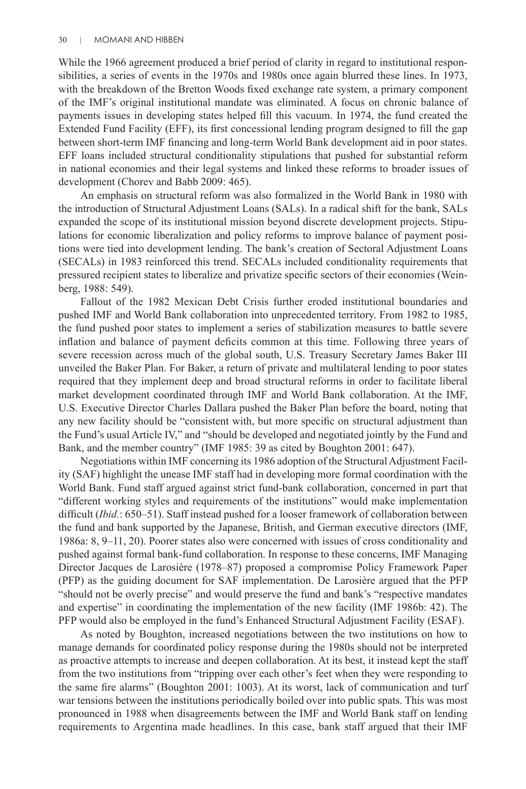While the 1966 agreement produced a brief period of clarity in regard to institutional responsibilities, a series of events in the 1970s and 1980s once again blurred these lines. In 1973, with the breakdown of the Bretton Woods fixed exchange rate system, a primary component of the IMF's original institutional mandate was eliminated. A focus on chronic balance of payments issues in developing states helped fill this vacuum. In 1974, the fund created the Extended Fund Facility (EFF), its first concessional lending program designed to fill the gap between short-term IMF financing and long-term World Bank development aid in poor states. EFF loans included structural conditionality stipulations that pushed for substantial reform in national economies and their legal systems and linked these reforms to broader issues of development (Chorev and Babb 2009: 465).

An emphasis on structural reform was also formalized in the World Bank in 1980 with the introduction of Structural Adjustment Loans (SALs). In a radical shift for the bank, SALs expanded the scope of its institutional mission beyond discrete development projects. Stipulations for economic liberalization and policy reforms to improve balance of payment positions were tied into development lending. The bank's creation of Sectoral Adjustment Loans (SECALs) in 1983 reinforced this trend. SECALs included conditionality requirements that pressured recipient states to liberalize and privatize specific sectors of their economies (Weinberg, 1988: 549).

Fallout of the 1982 Mexican Debt Crisis further eroded institutional boundaries and pushed IMF and World Bank collaboration into unprecedented territory. From 1982 to 1985, the fund pushed poor states to implement a series of stabilization measures to battle severe inflation and balance of payment deficits common at this time. Following three years of severe recession across much of the global south, U.S. Treasury Secretary James Baker III unveiled the Baker Plan. For Baker, a return of private and multilateral lending to poor states required that they implement deep and broad structural reforms in order to facilitate liberal market development coordinated through IMF and World Bank collaboration. At the IMF, U.S. Executive Director Charles Dallara pushed the Baker Plan before the board, noting that any new facility should be "consistent with, but more specific on structural adjustment than the Fund's usual Article IV," and "should be developed and negotiated jointly by the Fund and Bank, and the member country" (IMF 1985: 39 as cited by Boughton 2001: 647).

Negotiations within IMF concerning its 1986 adoption of the Structural Adjustment Facility (SAF) highlight the unease IMF staff had in developing more formal coordination with the World Bank. Fund staff argued against strict fund-bank collaboration, concerned in part that "different working styles and requirements of the institutions" would make implementation difficult (*Ibid.*: 650–51). Staff instead pushed for a looser framework of collaboration between the fund and bank supported by the Japanese, British, and German executive directors (IMF, 1986a: 8, 9–11, 20). Poorer states also were concerned with issues of cross conditionality and pushed against formal bank-fund collaboration. In response to these concerns, IMF Managing Director Jacques de Larosière (1978–87) proposed a compromise Policy Framework Paper (PFP) as the guiding document for SAF implementation. De Larosière argued that the PFP "should not be overly precise" and would preserve the fund and bank's "respective mandates and expertise" in coordinating the implementation of the new facility (IMF 1986b: 42). The PFP would also be employed in the fund's Enhanced Structural Adjustment Facility (ESAF).

As noted by Boughton, increased negotiations between the two institutions on how to manage demands for coordinated policy response during the 1980s should not be interpreted as proactive attempts to increase and deepen collaboration. At its best, it instead kept the staff from the two institutions from "tripping over each other's feet when they were responding to the same fire alarms" (Boughton 2001: 1003). At its worst, lack of communication and turf war tensions between the institutions periodically boiled over into public spats. This was most pronounced in 1988 when disagreements between the IMF and World Bank staff on lending requirements to Argentina made headlines. In this case, bank staff argued that their IMF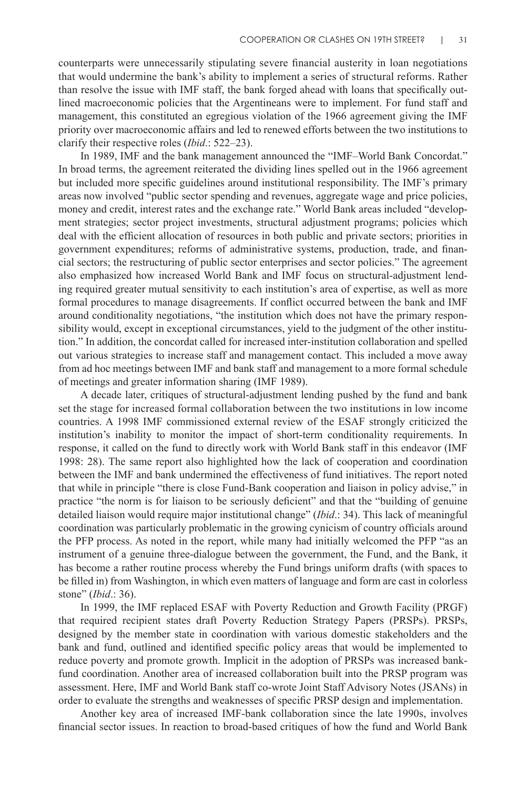counterparts were unnecessarily stipulating severe financial austerity in loan negotiations that would undermine the bank's ability to implement a series of structural reforms. Rather than resolve the issue with IMF staff, the bank forged ahead with loans that specifically outlined macroeconomic policies that the Argentineans were to implement. For fund staff and management, this constituted an egregious violation of the 1966 agreement giving the IMF priority over macroeconomic affairs and led to renewed efforts between the two institutions to clarify their respective roles (*Ibid*.: 522–23).

In 1989, IMF and the bank management announced the "IMF–World Bank Concordat." In broad terms, the agreement reiterated the dividing lines spelled out in the 1966 agreement but included more specific guidelines around institutional responsibility. The IMF's primary areas now involved "public sector spending and revenues, aggregate wage and price policies, money and credit, interest rates and the exchange rate." World Bank areas included "development strategies; sector project investments, structural adjustment programs; policies which deal with the efficient allocation of resources in both public and private sectors; priorities in government expenditures; reforms of administrative systems, production, trade, and financial sectors; the restructuring of public sector enterprises and sector policies." The agreement also emphasized how increased World Bank and IMF focus on structural-adjustment lending required greater mutual sensitivity to each institution's area of expertise, as well as more formal procedures to manage disagreements. If conflict occurred between the bank and IMF around conditionality negotiations, "the institution which does not have the primary responsibility would, except in exceptional circumstances, yield to the judgment of the other institution." In addition, the concordat called for increased inter-institution collaboration and spelled out various strategies to increase staff and management contact. This included a move away from ad hoc meetings between IMF and bank staff and management to a more formal schedule of meetings and greater information sharing (IMF 1989).

A decade later, critiques of structural-adjustment lending pushed by the fund and bank set the stage for increased formal collaboration between the two institutions in low income countries. A 1998 IMF commissioned external review of the ESAF strongly criticized the institution's inability to monitor the impact of short-term conditionality requirements. In response, it called on the fund to directly work with World Bank staff in this endeavor (IMF 1998: 28). The same report also highlighted how the lack of cooperation and coordination between the IMF and bank undermined the effectiveness of fund initiatives. The report noted that while in principle "there is close Fund-Bank cooperation and liaison in policy advise," in practice "the norm is for liaison to be seriously deficient" and that the "building of genuine detailed liaison would require major institutional change" (*Ibid*.: 34). This lack of meaningful coordination was particularly problematic in the growing cynicism of country officials around the PFP process. As noted in the report, while many had initially welcomed the PFP "as an instrument of a genuine three-dialogue between the government, the Fund, and the Bank, it has become a rather routine process whereby the Fund brings uniform drafts (with spaces to be filled in) from Washington, in which even matters of language and form are cast in colorless stone" (*Ibid*.: 36).

In 1999, the IMF replaced ESAF with Poverty Reduction and Growth Facility (PRGF) that required recipient states draft Poverty Reduction Strategy Papers (PRSPs). PRSPs, designed by the member state in coordination with various domestic stakeholders and the bank and fund, outlined and identified specific policy areas that would be implemented to reduce poverty and promote growth. Implicit in the adoption of PRSPs was increased bankfund coordination. Another area of increased collaboration built into the PRSP program was assessment. Here, IMF and World Bank staff co-wrote Joint Staff Advisory Notes (JSANs) in order to evaluate the strengths and weaknesses of specific PRSP design and implementation.

Another key area of increased IMF-bank collaboration since the late 1990s, involves financial sector issues. In reaction to broad-based critiques of how the fund and World Bank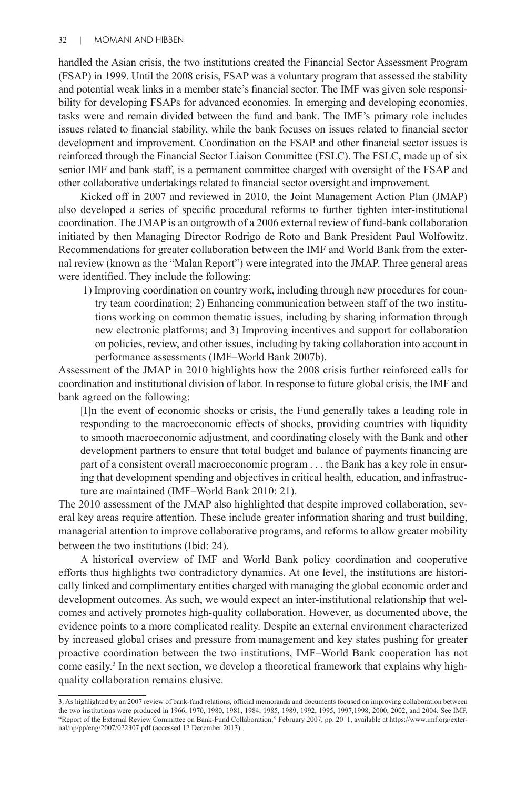handled the Asian crisis, the two institutions created the Financial Sector Assessment Program (FSAP) in 1999. Until the 2008 crisis, FSAP was a voluntary program that assessed the stability and potential weak links in a member state's financial sector. The IMF was given sole responsibility for developing FSAPs for advanced economies. In emerging and developing economies, tasks were and remain divided between the fund and bank. The IMF's primary role includes issues related to financial stability, while the bank focuses on issues related to financial sector development and improvement. Coordination on the FSAP and other financial sector issues is reinforced through the Financial Sector Liaison Committee (FSLC). The FSLC, made up of six senior IMF and bank staff, is a permanent committee charged with oversight of the FSAP and other collaborative undertakings related to financial sector oversight and improvement.

Kicked off in 2007 and reviewed in 2010, the Joint Management Action Plan (JMAP) also developed a series of specific procedural reforms to further tighten inter-institutional coordination. The JMAP is an outgrowth of a 2006 external review of fund-bank collaboration initiated by then Managing Director Rodrigo de Roto and Bank President Paul Wolfowitz. Recommendations for greater collaboration between the IMF and World Bank from the external review (known as the "Malan Report") were integrated into the JMAP. Three general areas were identified. They include the following:

1) Improving coordination on country work, including through new procedures for country team coordination; 2) Enhancing communication between staff of the two institutions working on common thematic issues, including by sharing information through new electronic platforms; and 3) Improving incentives and support for collaboration on policies, review, and other issues, including by taking collaboration into account in performance assessments (IMF–World Bank 2007b).

Assessment of the JMAP in 2010 highlights how the 2008 crisis further reinforced calls for coordination and institutional division of labor. In response to future global crisis, the IMF and bank agreed on the following:

[I]n the event of economic shocks or crisis, the Fund generally takes a leading role in responding to the macroeconomic effects of shocks, providing countries with liquidity to smooth macroeconomic adjustment, and coordinating closely with the Bank and other development partners to ensure that total budget and balance of payments financing are part of a consistent overall macroeconomic program . . . the Bank has a key role in ensuring that development spending and objectives in critical health, education, and infrastructure are maintained (IMF–World Bank 2010: 21).

The 2010 assessment of the JMAP also highlighted that despite improved collaboration, several key areas require attention. These include greater information sharing and trust building, managerial attention to improve collaborative programs, and reforms to allow greater mobility between the two institutions (Ibid: 24).

A historical overview of IMF and World Bank policy coordination and cooperative efforts thus highlights two contradictory dynamics. At one level, the institutions are historically linked and complimentary entities charged with managing the global economic order and development outcomes. As such, we would expect an inter-institutional relationship that welcomes and actively promotes high-quality collaboration. However, as documented above, the evidence points to a more complicated reality. Despite an external environment characterized by increased global crises and pressure from management and key states pushing for greater proactive coordination between the two institutions, IMF–World Bank cooperation has not come easily.3 In the next section, we develop a theoretical framework that explains why highquality collaboration remains elusive.

<sup>3.</sup> As highlighted by an 2007 review of bank-fund relations, official memoranda and documents focused on improving collaboration between the two institutions were produced in 1966, 1970, 1980, 1981, 1984, 1985, 1989, 1992, 1995, 1997,1998, 2000, 2002, and 2004. See IMF, "Report of the External Review Committee on Bank-Fund Collaboration," February 2007, pp. 20–1, available at https://www.imf.org/external/np/pp/eng/2007/022307.pdf (accessed 12 December 2013).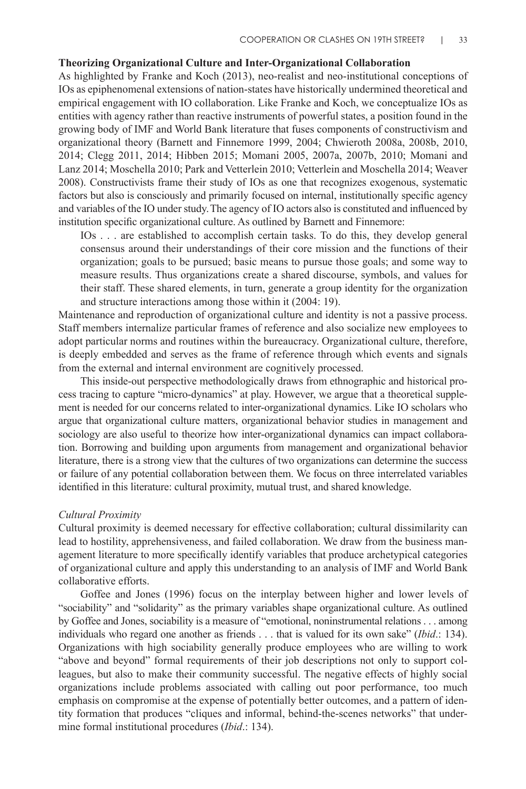# **Theorizing Organizational Culture and Inter-Organizational Collaboration**

As highlighted by Franke and Koch (2013), neo-realist and neo-institutional conceptions of IOs as epiphenomenal extensions of nation-states have historically undermined theoretical and empirical engagement with IO collaboration. Like Franke and Koch, we conceptualize IOs as entities with agency rather than reactive instruments of powerful states, a position found in the growing body of IMF and World Bank literature that fuses components of constructivism and organizational theory (Barnett and Finnemore 1999, 2004; Chwieroth 2008a, 2008b, 2010, 2014; Clegg 2011, 2014; Hibben 2015; Momani 2005, 2007a, 2007b, 2010; Momani and Lanz 2014; Moschella 2010; Park and Vetterlein 2010; Vetterlein and Moschella 2014; Weaver 2008). Constructivists frame their study of IOs as one that recognizes exogenous, systematic factors but also is consciously and primarily focused on internal, institutionally specific agency and variables of the IO under study.The agency of IO actors also is constituted and influenced by institution specific organizational culture. As outlined by Barnett and Finnemore:

IOs . . . are established to accomplish certain tasks. To do this, they develop general consensus around their understandings of their core mission and the functions of their organization; goals to be pursued; basic means to pursue those goals; and some way to measure results. Thus organizations create a shared discourse, symbols, and values for their staff. These shared elements, in turn, generate a group identity for the organization and structure interactions among those within it (2004: 19).

Maintenance and reproduction of organizational culture and identity is not a passive process. Staff members internalize particular frames of reference and also socialize new employees to adopt particular norms and routines within the bureaucracy. Organizational culture, therefore, is deeply embedded and serves as the frame of reference through which events and signals from the external and internal environment are cognitively processed.

This inside-out perspective methodologically draws from ethnographic and historical process tracing to capture "micro-dynamics" at play. However, we argue that a theoretical supplement is needed for our concerns related to inter-organizational dynamics. Like IO scholars who argue that organizational culture matters, organizational behavior studies in management and sociology are also useful to theorize how inter-organizational dynamics can impact collaboration. Borrowing and building upon arguments from management and organizational behavior literature, there is a strong view that the cultures of two organizations can determine the success or failure of any potential collaboration between them. We focus on three interrelated variables identified in this literature: cultural proximity, mutual trust, and shared knowledge.

#### *Cultural Proximity*

Cultural proximity is deemed necessary for effective collaboration; cultural dissimilarity can lead to hostility, apprehensiveness, and failed collaboration. We draw from the business management literature to more specifically identify variables that produce archetypical categories of organizational culture and apply this understanding to an analysis of IMF and World Bank collaborative efforts.

Goffee and Jones (1996) focus on the interplay between higher and lower levels of "sociability" and "solidarity" as the primary variables shape organizational culture. As outlined by Goffee and Jones, sociability is a measure of "emotional, noninstrumental relations . . . among individuals who regard one another as friends . . . that is valued for its own sake" (*Ibid*.: 134). Organizations with high sociability generally produce employees who are willing to work "above and beyond" formal requirements of their job descriptions not only to support colleagues, but also to make their community successful. The negative effects of highly social organizations include problems associated with calling out poor performance, too much emphasis on compromise at the expense of potentially better outcomes, and a pattern of identity formation that produces "cliques and informal, behind-the-scenes networks" that undermine formal institutional procedures (*Ibid*.: 134).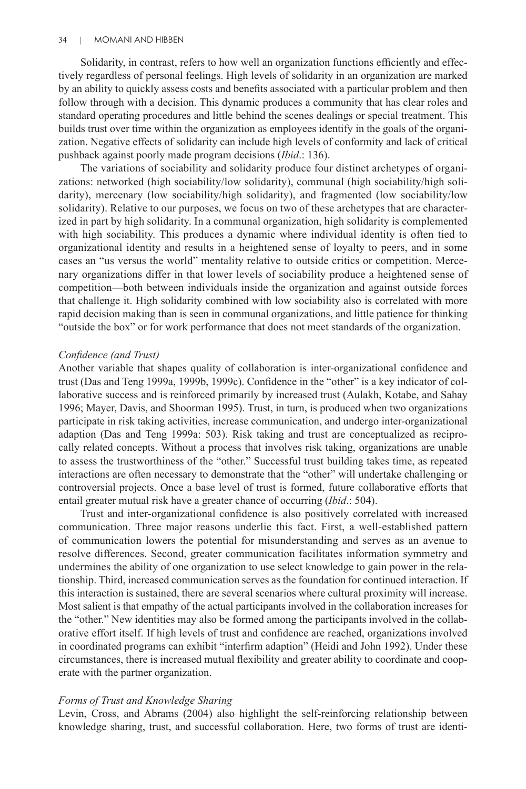Solidarity, in contrast, refers to how well an organization functions efficiently and effectively regardless of personal feelings. High levels of solidarity in an organization are marked by an ability to quickly assess costs and benefits associated with a particular problem and then follow through with a decision. This dynamic produces a community that has clear roles and standard operating procedures and little behind the scenes dealings or special treatment. This builds trust over time within the organization as employees identify in the goals of the organization. Negative effects of solidarity can include high levels of conformity and lack of critical pushback against poorly made program decisions (*Ibid*.: 136).

The variations of sociability and solidarity produce four distinct archetypes of organizations: networked (high sociability/low solidarity), communal (high sociability/high solidarity), mercenary (low sociability/high solidarity), and fragmented (low sociability/low solidarity). Relative to our purposes, we focus on two of these archetypes that are characterized in part by high solidarity. In a communal organization, high solidarity is complemented with high sociability. This produces a dynamic where individual identity is often tied to organizational identity and results in a heightened sense of loyalty to peers, and in some cases an "us versus the world" mentality relative to outside critics or competition. Mercenary organizations differ in that lower levels of sociability produce a heightened sense of competition—both between individuals inside the organization and against outside forces that challenge it. High solidarity combined with low sociability also is correlated with more rapid decision making than is seen in communal organizations, and little patience for thinking "outside the box" or for work performance that does not meet standards of the organization.

#### *Confidence (and Trust)*

Another variable that shapes quality of collaboration is inter-organizational confidence and trust (Das and Teng 1999a, 1999b, 1999c). Confidence in the "other" is a key indicator of collaborative success and is reinforced primarily by increased trust (Aulakh, Kotabe, and Sahay 1996; Mayer, Davis, and Shoorman 1995). Trust, in turn, is produced when two organizations participate in risk taking activities, increase communication, and undergo inter-organizational adaption (Das and Teng 1999a: 503). Risk taking and trust are conceptualized as reciprocally related concepts. Without a process that involves risk taking, organizations are unable to assess the trustworthiness of the "other." Successful trust building takes time, as repeated interactions are often necessary to demonstrate that the "other" will undertake challenging or controversial projects. Once a base level of trust is formed, future collaborative efforts that entail greater mutual risk have a greater chance of occurring (*Ibid*.: 504).

Trust and inter-organizational confidence is also positively correlated with increased communication. Three major reasons underlie this fact. First, a well-established pattern of communication lowers the potential for misunderstanding and serves as an avenue to resolve differences. Second, greater communication facilitates information symmetry and undermines the ability of one organization to use select knowledge to gain power in the relationship. Third, increased communication serves as the foundation for continued interaction. If this interaction is sustained, there are several scenarios where cultural proximity will increase. Most salient is that empathy of the actual participants involved in the collaboration increases for the "other." New identities may also be formed among the participants involved in the collaborative effort itself. If high levels of trust and confidence are reached, organizations involved in coordinated programs can exhibit "interfirm adaption" (Heidi and John 1992). Under these circumstances, there is increased mutual flexibility and greater ability to coordinate and cooperate with the partner organization.

# *Forms of Trust and Knowledge Sharing*

Levin, Cross, and Abrams (2004) also highlight the self-reinforcing relationship between knowledge sharing, trust, and successful collaboration. Here, two forms of trust are identi-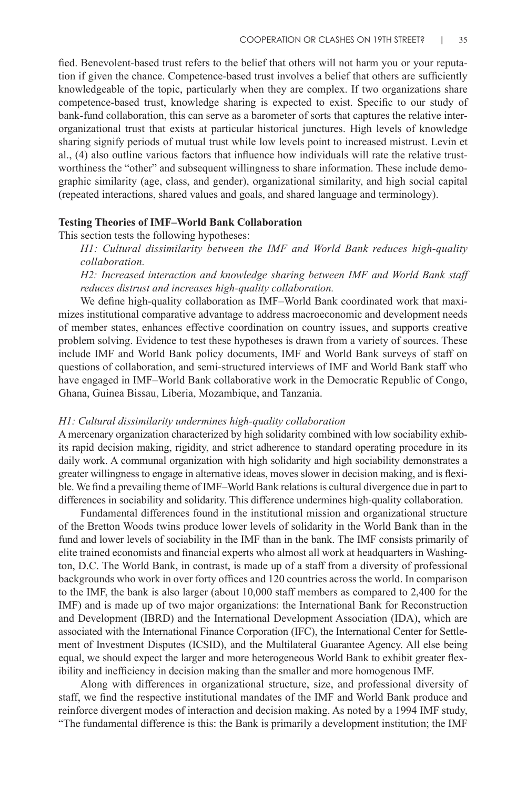fied. Benevolent-based trust refers to the belief that others will not harm you or your reputation if given the chance. Competence-based trust involves a belief that others are sufficiently knowledgeable of the topic, particularly when they are complex. If two organizations share competence-based trust, knowledge sharing is expected to exist. Specific to our study of bank-fund collaboration, this can serve as a barometer of sorts that captures the relative interorganizational trust that exists at particular historical junctures. High levels of knowledge sharing signify periods of mutual trust while low levels point to increased mistrust. Levin et al., (4) also outline various factors that influence how individuals will rate the relative trustworthiness the "other" and subsequent willingness to share information. These include demographic similarity (age, class, and gender), organizational similarity, and high social capital (repeated interactions, shared values and goals, and shared language and terminology).

#### **Testing Theories of IMF–World Bank Collaboration**

This section tests the following hypotheses:

*H1: Cultural dissimilarity between the IMF and World Bank reduces high-quality collaboration.*

*H2: Increased interaction and knowledge sharing between IMF and World Bank staff reduces distrust and increases high-quality collaboration.*

We define high-quality collaboration as IMF–World Bank coordinated work that maximizes institutional comparative advantage to address macroeconomic and development needs of member states, enhances effective coordination on country issues, and supports creative problem solving. Evidence to test these hypotheses is drawn from a variety of sources. These include IMF and World Bank policy documents, IMF and World Bank surveys of staff on questions of collaboration, and semi-structured interviews of IMF and World Bank staff who have engaged in IMF–World Bank collaborative work in the Democratic Republic of Congo, Ghana, Guinea Bissau, Liberia, Mozambique, and Tanzania.

#### *H1: Cultural dissimilarity undermines high-quality collaboration*

A mercenary organization characterized by high solidarity combined with low sociability exhibits rapid decision making, rigidity, and strict adherence to standard operating procedure in its daily work. A communal organization with high solidarity and high sociability demonstrates a greater willingness to engage in alternative ideas, moves slower in decision making, and is flexible. We find a prevailing theme of IMF–World Bank relations is cultural divergence due in part to differences in sociability and solidarity. This difference undermines high-quality collaboration.

Fundamental differences found in the institutional mission and organizational structure of the Bretton Woods twins produce lower levels of solidarity in the World Bank than in the fund and lower levels of sociability in the IMF than in the bank. The IMF consists primarily of elite trained economists and financial experts who almost all work at headquarters in Washington, D.C. The World Bank, in contrast, is made up of a staff from a diversity of professional backgrounds who work in over forty offices and 120 countries across the world. In comparison to the IMF, the bank is also larger (about 10,000 staff members as compared to 2,400 for the IMF) and is made up of two major organizations: the International Bank for Reconstruction and Development (IBRD) and the International Development Association (IDA), which are associated with the International Finance Corporation (IFC), the International Center for Settlement of Investment Disputes (ICSID), and the Multilateral Guarantee Agency. All else being equal, we should expect the larger and more heterogeneous World Bank to exhibit greater flexibility and inefficiency in decision making than the smaller and more homogenous IMF.

Along with differences in organizational structure, size, and professional diversity of staff, we find the respective institutional mandates of the IMF and World Bank produce and reinforce divergent modes of interaction and decision making. As noted by a 1994 IMF study, "The fundamental difference is this: the Bank is primarily a development institution; the IMF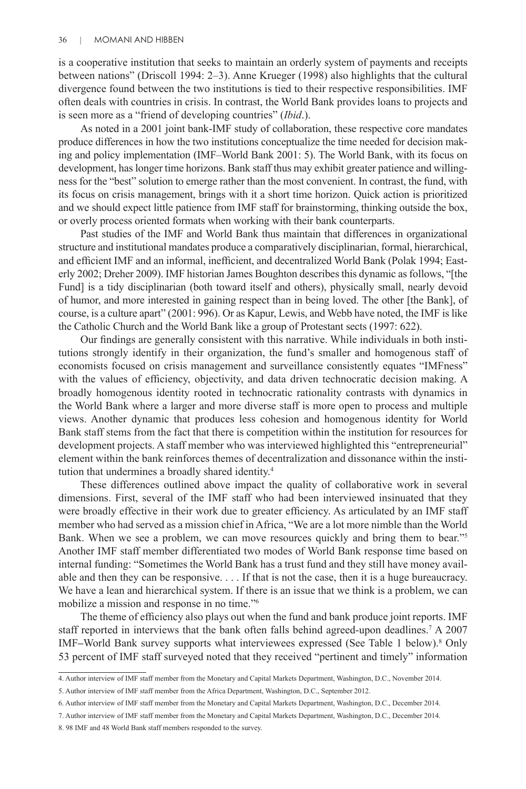is a cooperative institution that seeks to maintain an orderly system of payments and receipts between nations" (Driscoll 1994: 2–3). Anne Krueger (1998) also highlights that the cultural divergence found between the two institutions is tied to their respective responsibilities. IMF often deals with countries in crisis. In contrast, the World Bank provides loans to projects and is seen more as a "friend of developing countries" (*Ibid*.).

As noted in a 2001 joint bank-IMF study of collaboration, these respective core mandates produce differences in how the two institutions conceptualize the time needed for decision making and policy implementation (IMF–World Bank 2001: 5). The World Bank, with its focus on development, has longer time horizons. Bank staff thus may exhibit greater patience and willingness for the "best" solution to emerge rather than the most convenient. In contrast, the fund, with its focus on crisis management, brings with it a short time horizon. Quick action is prioritized and we should expect little patience from IMF staff for brainstorming, thinking outside the box, or overly process oriented formats when working with their bank counterparts.

Past studies of the IMF and World Bank thus maintain that differences in organizational structure and institutional mandates produce a comparatively disciplinarian, formal, hierarchical, and efficient IMF and an informal, inefficient, and decentralized World Bank (Polak 1994; Easterly 2002; Dreher 2009). IMF historian James Boughton describes this dynamic as follows, "[the Fund] is a tidy disciplinarian (both toward itself and others), physically small, nearly devoid of humor, and more interested in gaining respect than in being loved. The other [the Bank], of course, is a culture apart" (2001: 996). Or as Kapur, Lewis, and Webb have noted, the IMF is like the Catholic Church and the World Bank like a group of Protestant sects (1997: 622).

Our findings are generally consistent with this narrative. While individuals in both institutions strongly identify in their organization, the fund's smaller and homogenous staff of economists focused on crisis management and surveillance consistently equates "IMFness" with the values of efficiency, objectivity, and data driven technocratic decision making. A broadly homogenous identity rooted in technocratic rationality contrasts with dynamics in the World Bank where a larger and more diverse staff is more open to process and multiple views. Another dynamic that produces less cohesion and homogenous identity for World Bank staff stems from the fact that there is competition within the institution for resources for development projects. A staff member who was interviewed highlighted this "entrepreneurial" element within the bank reinforces themes of decentralization and dissonance within the institution that undermines a broadly shared identity.<sup>4</sup>

These differences outlined above impact the quality of collaborative work in several dimensions. First, several of the IMF staff who had been interviewed insinuated that they were broadly effective in their work due to greater efficiency. As articulated by an IMF staff member who had served as a mission chief in Africa, "We are a lot more nimble than the World Bank. When we see a problem, we can move resources quickly and bring them to bear."<sup>5</sup> Another IMF staff member differentiated two modes of World Bank response time based on internal funding: "Sometimes the World Bank has a trust fund and they still have money available and then they can be responsive. . . . If that is not the case, then it is a huge bureaucracy. We have a lean and hierarchical system. If there is an issue that we think is a problem, we can mobilize a mission and response in no time."<sup>6</sup>

The theme of efficiency also plays out when the fund and bank produce joint reports. IMF staff reported in interviews that the bank often falls behind agreed-upon deadlines.<sup>7</sup> A 2007 IMF–World Bank survey supports what interviewees expressed (See Table 1 below).<sup>8</sup> Only 53 percent of IMF staff surveyed noted that they received "pertinent and timely" information

<sup>4.</sup> Author interview of IMF staff member from the Monetary and Capital Markets Department, Washington, D.C., November 2014.

<sup>5.</sup> Author interview of IMF staff member from the Africa Department, Washington, D.C., September 2012.

<sup>6.</sup> Author interview of IMF staff member from the Monetary and Capital Markets Department, Washington, D.C., December 2014.

<sup>7.</sup> Author interview of IMF staff member from the Monetary and Capital Markets Department, Washington, D.C., December 2014.

<sup>8. 98</sup> IMF and 48 World Bank staff members responded to the survey.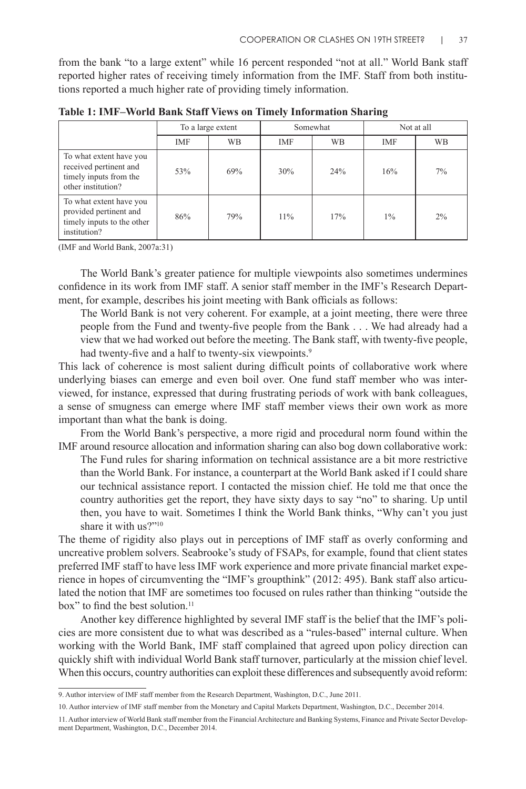from the bank "to a large extent" while 16 percent responded "not at all." World Bank staff reported higher rates of receiving timely information from the IMF. Staff from both institutions reported a much higher rate of providing timely information.

|                                                                                                   | To a large extent |           | Somewhat   |           | Not at all |           |
|---------------------------------------------------------------------------------------------------|-------------------|-----------|------------|-----------|------------|-----------|
|                                                                                                   | <b>IMF</b>        | <b>WB</b> | <b>IMF</b> | <b>WB</b> | <b>IMF</b> | <b>WB</b> |
| To what extent have you<br>received pertinent and<br>timely inputs from the<br>other institution? | 53%               | 69%       | 30%        | 24%       | 16%        | 7%        |
| To what extent have you<br>provided pertinent and<br>timely inputs to the other<br>institution?   | 86%               | 79%       | 11%        | 17%       | $1\%$      | 2%        |

**Table 1: IMF–World Bank Staff Views on Timely Information Sharing**

(IMF and World Bank, 2007a:31)

The World Bank's greater patience for multiple viewpoints also sometimes undermines confidence in its work from IMF staff. A senior staff member in the IMF's Research Department, for example, describes his joint meeting with Bank officials as follows:

The World Bank is not very coherent. For example, at a joint meeting, there were three people from the Fund and twenty-five people from the Bank . . . We had already had a view that we had worked out before the meeting. The Bank staff, with twenty-five people, had twenty-five and a half to twenty-six viewpoints.<sup>9</sup>

This lack of coherence is most salient during difficult points of collaborative work where underlying biases can emerge and even boil over. One fund staff member who was interviewed, for instance, expressed that during frustrating periods of work with bank colleagues, a sense of smugness can emerge where IMF staff member views their own work as more important than what the bank is doing.

From the World Bank's perspective, a more rigid and procedural norm found within the IMF around resource allocation and information sharing can also bog down collaborative work:

The Fund rules for sharing information on technical assistance are a bit more restrictive than the World Bank. For instance, a counterpart at the World Bank asked if I could share our technical assistance report. I contacted the mission chief. He told me that once the country authorities get the report, they have sixty days to say "no" to sharing. Up until then, you have to wait. Sometimes I think the World Bank thinks, "Why can't you just share it with us?"<sup>10</sup>

The theme of rigidity also plays out in perceptions of IMF staff as overly conforming and uncreative problem solvers. Seabrooke's study of FSAPs, for example, found that client states preferred IMF staff to have less IMF work experience and more private financial market experience in hopes of circumventing the "IMF's groupthink" (2012: 495). Bank staff also articulated the notion that IMF are sometimes too focused on rules rather than thinking "outside the box" to find the best solution.<sup>11</sup>

Another key difference highlighted by several IMF staff is the belief that the IMF's policies are more consistent due to what was described as a "rules-based" internal culture. When working with the World Bank, IMF staff complained that agreed upon policy direction can quickly shift with individual World Bank staff turnover, particularly at the mission chief level. When this occurs, country authorities can exploit these differences and subsequently avoid reform:

<sup>9.</sup> Author interview of IMF staff member from the Research Department, Washington, D.C., June 2011.

<sup>10.</sup> Author interview of IMF staff member from the Monetary and Capital Markets Department, Washington, D.C., December 2014.

<sup>11.</sup> Author interview of World Bank staff member from the Financial Architecture and Banking Systems, Finance and Private Sector Development Department, Washington, D.C., December 2014.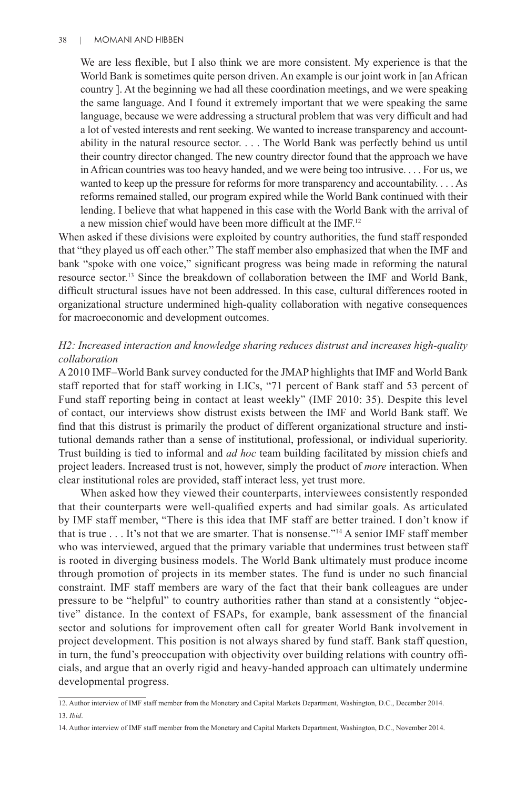#### 38 | MOMANI AND HIBBEN

We are less flexible, but I also think we are more consistent. My experience is that the World Bank is sometimes quite person driven. An example is our joint work in [an African country ]. At the beginning we had all these coordination meetings, and we were speaking the same language. And I found it extremely important that we were speaking the same language, because we were addressing a structural problem that was very difficult and had a lot of vested interests and rent seeking. We wanted to increase transparency and accountability in the natural resource sector. . . . The World Bank was perfectly behind us until their country director changed. The new country director found that the approach we have in African countries was too heavy handed, and we were being too intrusive. . . . For us, we wanted to keep up the pressure for reforms for more transparency and accountability. . . . As reforms remained stalled, our program expired while the World Bank continued with their lending. I believe that what happened in this case with the World Bank with the arrival of a new mission chief would have been more difficult at the IMF.<sup>12</sup>

When asked if these divisions were exploited by country authorities, the fund staff responded that "they played us off each other." The staff member also emphasized that when the IMF and bank "spoke with one voice," significant progress was being made in reforming the natural resource sector.13 Since the breakdown of collaboration between the IMF and World Bank, difficult structural issues have not been addressed. In this case, cultural differences rooted in organizational structure undermined high-quality collaboration with negative consequences for macroeconomic and development outcomes.

# *H2: Increased interaction and knowledge sharing reduces distrust and increases high-quality collaboration*

A 2010 IMF–World Bank survey conducted for the JMAP highlights that IMF and World Bank staff reported that for staff working in LICs, "71 percent of Bank staff and 53 percent of Fund staff reporting being in contact at least weekly" (IMF 2010: 35). Despite this level of contact, our interviews show distrust exists between the IMF and World Bank staff. We find that this distrust is primarily the product of different organizational structure and institutional demands rather than a sense of institutional, professional, or individual superiority. Trust building is tied to informal and *ad hoc* team building facilitated by mission chiefs and project leaders. Increased trust is not, however, simply the product of *more* interaction. When clear institutional roles are provided, staff interact less, yet trust more.

When asked how they viewed their counterparts, interviewees consistently responded that their counterparts were well-qualified experts and had similar goals. As articulated by IMF staff member, "There is this idea that IMF staff are better trained. I don't know if that is true  $\dots$  It's not that we are smarter. That is nonsense."<sup>14</sup> A senior IMF staff member who was interviewed, argued that the primary variable that undermines trust between staff is rooted in diverging business models. The World Bank ultimately must produce income through promotion of projects in its member states. The fund is under no such financial constraint. IMF staff members are wary of the fact that their bank colleagues are under pressure to be "helpful" to country authorities rather than stand at a consistently "objective" distance. In the context of FSAPs, for example, bank assessment of the financial sector and solutions for improvement often call for greater World Bank involvement in project development. This position is not always shared by fund staff. Bank staff question, in turn, the fund's preoccupation with objectivity over building relations with country officials, and argue that an overly rigid and heavy-handed approach can ultimately undermine developmental progress.

<sup>12.</sup> Author interview of IMF staff member from the Monetary and Capital Markets Department, Washington, D.C., December 2014. 13. *Ibid*.

<sup>14.</sup> Author interview of IMF staff member from the Monetary and Capital Markets Department, Washington, D.C., November 2014.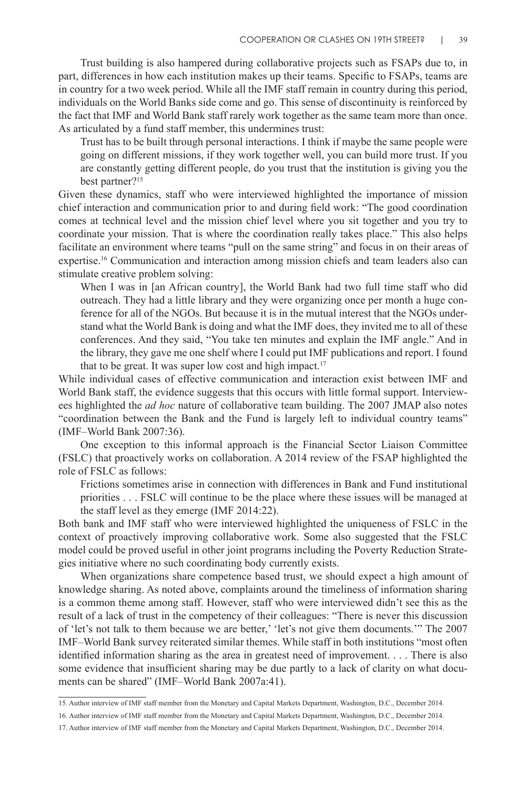Trust building is also hampered during collaborative projects such as FSAPs due to, in part, differences in how each institution makes up their teams. Specific to FSAPs, teams are in country for a two week period. While all the IMF staff remain in country during this period, individuals on the World Banks side come and go. This sense of discontinuity is reinforced by the fact that IMF and World Bank staff rarely work together as the same team more than once. As articulated by a fund staff member, this undermines trust:

Trust has to be built through personal interactions. I think if maybe the same people were going on different missions, if they work together well, you can build more trust. If you are constantly getting different people, do you trust that the institution is giving you the best partner?<sup>15</sup>

Given these dynamics, staff who were interviewed highlighted the importance of mission chief interaction and communication prior to and during field work: "The good coordination comes at technical level and the mission chief level where you sit together and you try to coordinate your mission. That is where the coordination really takes place." This also helps facilitate an environment where teams "pull on the same string" and focus in on their areas of expertise.16 Communication and interaction among mission chiefs and team leaders also can stimulate creative problem solving:

When I was in [an African country], the World Bank had two full time staff who did outreach. They had a little library and they were organizing once per month a huge conference for all of the NGOs. But because it is in the mutual interest that the NGOs understand what the World Bank is doing and what the IMF does, they invited me to all of these conferences. And they said, "You take ten minutes and explain the IMF angle." And in the library, they gave me one shelf where I could put IMF publications and report. I found that to be great. It was super low cost and high impact.<sup>17</sup>

While individual cases of effective communication and interaction exist between IMF and World Bank staff, the evidence suggests that this occurs with little formal support. Interviewees highlighted the *ad hoc* nature of collaborative team building. The 2007 JMAP also notes "coordination between the Bank and the Fund is largely left to individual country teams" (IMF–World Bank 2007:36).

One exception to this informal approach is the Financial Sector Liaison Committee (FSLC) that proactively works on collaboration. A 2014 review of the FSAP highlighted the role of FSLC as follows:

Frictions sometimes arise in connection with differences in Bank and Fund institutional priorities . . . FSLC will continue to be the place where these issues will be managed at the staff level as they emerge (IMF 2014:22).

Both bank and IMF staff who were interviewed highlighted the uniqueness of FSLC in the context of proactively improving collaborative work. Some also suggested that the FSLC model could be proved useful in other joint programs including the Poverty Reduction Strategies initiative where no such coordinating body currently exists.

When organizations share competence based trust, we should expect a high amount of knowledge sharing. As noted above, complaints around the timeliness of information sharing is a common theme among staff. However, staff who were interviewed didn't see this as the result of a lack of trust in the competency of their colleagues: "There is never this discussion of 'let's not talk to them because we are better,' 'let's not give them documents.'" The 2007 IMF–World Bank survey reiterated similar themes. While staff in both institutions "most often identified information sharing as the area in greatest need of improvement. . . . There is also some evidence that insufficient sharing may be due partly to a lack of clarity on what documents can be shared" (IMF–World Bank 2007a:41).

<sup>15.</sup> Author interview of IMF staff member from the Monetary and Capital Markets Department, Washington, D.C., December 2014.

<sup>16.</sup> Author interview of IMF staff member from the Monetary and Capital Markets Department, Washington, D.C., December 2014.

<sup>17.</sup> Author interview of IMF staff member from the Monetary and Capital Markets Department, Washington, D.C., December 2014.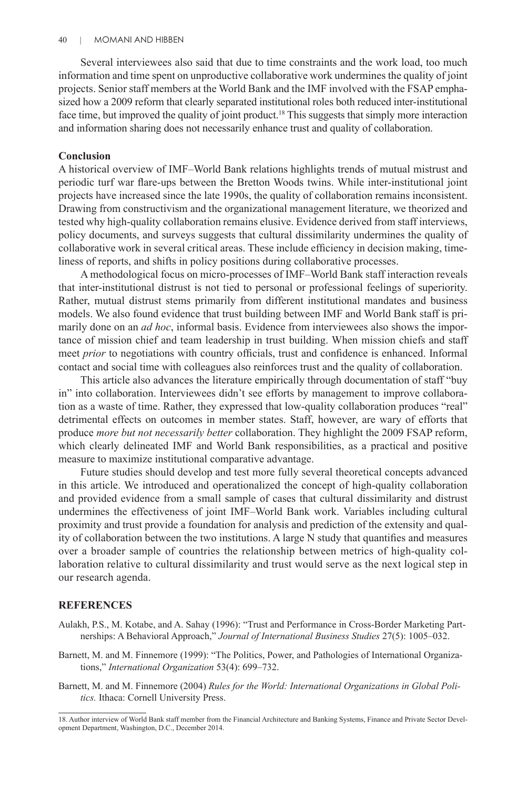Several interviewees also said that due to time constraints and the work load, too much information and time spent on unproductive collaborative work undermines the quality of joint projects. Senior staff members at the World Bank and the IMF involved with the FSAP emphasized how a 2009 reform that clearly separated institutional roles both reduced inter-institutional face time, but improved the quality of joint product.<sup>18</sup> This suggests that simply more interaction and information sharing does not necessarily enhance trust and quality of collaboration.

# **Conclusion**

A historical overview of IMF–World Bank relations highlights trends of mutual mistrust and periodic turf war flare-ups between the Bretton Woods twins. While inter-institutional joint projects have increased since the late 1990s, the quality of collaboration remains inconsistent. Drawing from constructivism and the organizational management literature, we theorized and tested why high-quality collaboration remains elusive. Evidence derived from staff interviews, policy documents, and surveys suggests that cultural dissimilarity undermines the quality of collaborative work in several critical areas. These include efficiency in decision making, timeliness of reports, and shifts in policy positions during collaborative processes.

A methodological focus on micro-processes of IMF–World Bank staff interaction reveals that inter-institutional distrust is not tied to personal or professional feelings of superiority. Rather, mutual distrust stems primarily from different institutional mandates and business models. We also found evidence that trust building between IMF and World Bank staff is primarily done on an *ad hoc*, informal basis. Evidence from interviewees also shows the importance of mission chief and team leadership in trust building. When mission chiefs and staff meet *prior* to negotiations with country officials, trust and confidence is enhanced. Informal contact and social time with colleagues also reinforces trust and the quality of collaboration.

This article also advances the literature empirically through documentation of staff "buy in" into collaboration. Interviewees didn't see efforts by management to improve collaboration as a waste of time. Rather, they expressed that low-quality collaboration produces "real" detrimental effects on outcomes in member states. Staff, however, are wary of efforts that produce *more but not necessarily better* collaboration. They highlight the 2009 FSAP reform, which clearly delineated IMF and World Bank responsibilities, as a practical and positive measure to maximize institutional comparative advantage.

Future studies should develop and test more fully several theoretical concepts advanced in this article. We introduced and operationalized the concept of high-quality collaboration and provided evidence from a small sample of cases that cultural dissimilarity and distrust undermines the effectiveness of joint IMF–World Bank work. Variables including cultural proximity and trust provide a foundation for analysis and prediction of the extensity and quality of collaboration between the two institutions. A large N study that quantifies and measures over a broader sample of countries the relationship between metrics of high-quality collaboration relative to cultural dissimilarity and trust would serve as the next logical step in our research agenda.

# **REFERENCES**

- Aulakh, P.S., M. Kotabe, and A. Sahay (1996): "Trust and Performance in Cross-Border Marketing Partnerships: A Behavioral Approach," *Journal of International Business Studies* 27(5): 1005–032.
- Barnett, M. and M. Finnemore (1999): "The Politics, Power, and Pathologies of International Organizations," *International Organization* 53(4): 699–732.
- Barnett, M. and M. Finnemore (2004) *Rules for the World: International Organizations in Global Politics.* Ithaca: Cornell University Press.

<sup>18.</sup> Author interview of World Bank staff member from the Financial Architecture and Banking Systems, Finance and Private Sector Development Department, Washington, D.C., December 2014.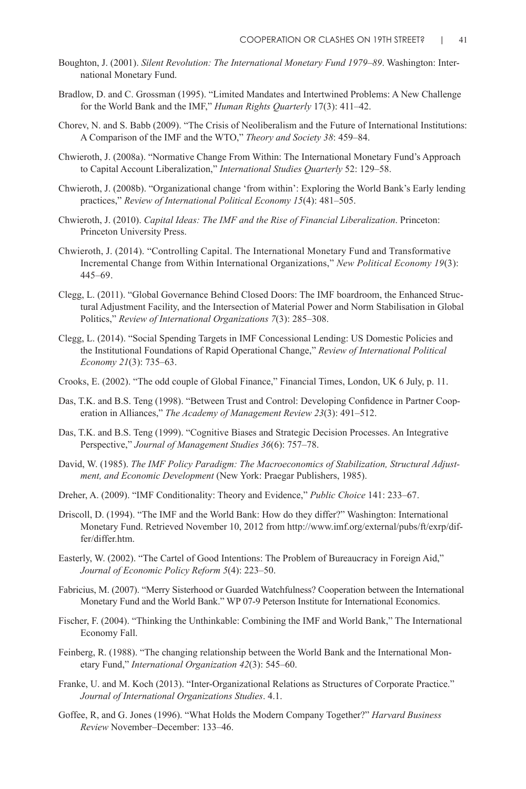- Boughton, J. (2001). *Silent Revolution: The International Monetary Fund 1979–89*. Washington: International Monetary Fund.
- Bradlow, D. and C. Grossman (1995). "Limited Mandates and Intertwined Problems: A New Challenge for the World Bank and the IMF," *Human Rights Quarterly* 17(3): 411–42.
- Chorev, N. and S. Babb (2009). "The Crisis of Neoliberalism and the Future of International Institutions: A Comparison of the IMF and the WTO," *Theory and Society 38*: 459–84.
- Chwieroth, J. (2008a). "Normative Change From Within: The International Monetary Fund's Approach to Capital Account Liberalization," *International Studies Quarterly* 52: 129–58.
- Chwieroth, J. (2008b). "Organizational change 'from within': Exploring the World Bank's Early lending practices," *Review of International Political Economy 15*(4): 481–505.
- Chwieroth, J. (2010). *Capital Ideas: The IMF and the Rise of Financial Liberalization*. Princeton: Princeton University Press.
- Chwieroth, J. (2014). "Controlling Capital. The International Monetary Fund and Transformative Incremental Change from Within International Organizations," *New Political Economy 19*(3): 445–69.
- Clegg, L. (2011). "Global Governance Behind Closed Doors: The IMF boardroom, the Enhanced Structural Adjustment Facility, and the Intersection of Material Power and Norm Stabilisation in Global Politics," *Review of International Organizations 7*(3): 285–308.
- Clegg, L. (2014). "Social Spending Targets in IMF Concessional Lending: US Domestic Policies and the Institutional Foundations of Rapid Operational Change," *Review of International Political Economy 21*(3): 735–63.
- Crooks, E. (2002). "The odd couple of Global Finance," Financial Times, London, UK 6 July, p. 11.
- Das, T.K. and B.S. Teng (1998). "Between Trust and Control: Developing Confidence in Partner Cooperation in Alliances," *The Academy of Management Review 23*(3): 491–512.
- Das, T.K. and B.S. Teng (1999). "Cognitive Biases and Strategic Decision Processes. An Integrative Perspective," *Journal of Management Studies 36*(6): 757–78.
- David, W. (1985). *The IMF Policy Paradigm: The Macroeconomics of Stabilization, Structural Adjustment, and Economic Development* (New York: Praegar Publishers, 1985).
- Dreher, A. (2009). "IMF Conditionality: Theory and Evidence," *Public Choice* 141: 233–67.
- Driscoll, D. (1994). "The IMF and the World Bank: How do they differ?" Washington: International Monetary Fund. Retrieved November 10, 2012 from http://www.imf.org/external/pubs/ft/exrp/differ/differ.htm.
- Easterly, W. (2002). "The Cartel of Good Intentions: The Problem of Bureaucracy in Foreign Aid," *Journal of Economic Policy Reform 5*(4): 223–50.
- Fabricius, M. (2007). "Merry Sisterhood or Guarded Watchfulness? Cooperation between the International Monetary Fund and the World Bank." WP 07-9 Peterson Institute for International Economics.
- Fischer, F. (2004). "Thinking the Unthinkable: Combining the IMF and World Bank," The International Economy Fall.
- Feinberg, R. (1988). "The changing relationship between the World Bank and the International Monetary Fund," *International Organization 42*(3): 545–60.
- Franke, U. and M. Koch (2013). "Inter-Organizational Relations as Structures of Corporate Practice." *Journal of International Organizations Studies*. 4.1.
- Goffee, R, and G. Jones (1996). "What Holds the Modern Company Together?" *Harvard Business Review* November–December: 133–46.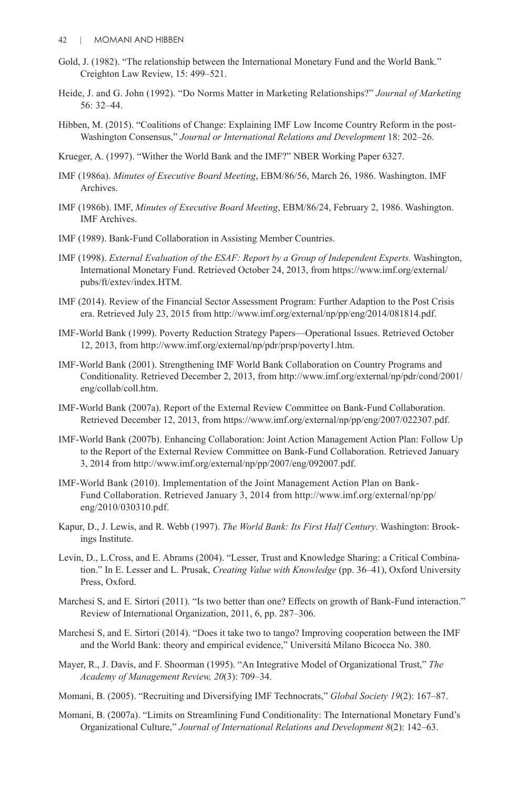- Gold, J. (1982). "The relationship between the International Monetary Fund and the World Bank." Creighton Law Review, 15: 499–521.
- Heide, J. and G. John (1992). "Do Norms Matter in Marketing Relationships?" *Journal of Marketing* 56: 32–44.
- Hibben, M. (2015). "Coalitions of Change: Explaining IMF Low Income Country Reform in the post-Washington Consensus," *Journal or International Relations and Development* 18: 202–26.
- Krueger, A. (1997). "Wither the World Bank and the IMF?" NBER Working Paper 6327.
- IMF (1986a). *Minutes of Executive Board Meeting*, EBM/86/56, March 26, 1986. Washington. IMF Archives.
- IMF (1986b). IMF, *Minutes of Executive Board Meeting*, EBM/86/24, February 2, 1986. Washington. IMF Archives.
- IMF (1989). Bank-Fund Collaboration in Assisting Member Countries.
- IMF (1998). *External Evaluation of the ESAF: Report by a Group of Independent Experts.* Washington, International Monetary Fund. Retrieved October 24, 2013, from https://www.imf.org/external/ pubs/ft/extev/index.HTM.
- IMF (2014). Review of the Financial Sector Assessment Program: Further Adaption to the Post Crisis era. Retrieved July 23, 2015 from http://www.imf.org/external/np/pp/eng/2014/081814.pdf.
- IMF-World Bank (1999). Poverty Reduction Strategy Papers—Operational Issues. Retrieved October 12, 2013, from http://www.imf.org/external/np/pdr/prsp/poverty1.htm.
- IMF-World Bank (2001). Strengthening IMF World Bank Collaboration on Country Programs and Conditionality. Retrieved December 2, 2013, from http://www.imf.org/external/np/pdr/cond/2001/ eng/collab/coll.htm.
- IMF-World Bank (2007a). Report of the External Review Committee on Bank-Fund Collaboration. Retrieved December 12, 2013, from https://www.imf.org/external/np/pp/eng/2007/022307.pdf.
- IMF-World Bank (2007b). Enhancing Collaboration: Joint Action Management Action Plan: Follow Up to the Report of the External Review Committee on Bank-Fund Collaboration. Retrieved January 3, 2014 from http://www.imf.org/external/np/pp/2007/eng/092007.pdf.
- IMF-World Bank (2010). Implementation of the Joint Management Action Plan on Bank-Fund Collaboration. Retrieved January 3, 2014 from http://www.imf.org/external/np/pp/ eng/2010/030310.pdf.
- Kapur, D., J. Lewis, and R. Webb (1997). *The World Bank: Its First Half Century*. Washington: Brookings Institute.
- Levin, D., L.Cross, and E. Abrams (2004). "Lesser, Trust and Knowledge Sharing: a Critical Combination." In E. Lesser and L. Prusak, *Creating Value with Knowledge* (pp. 36–41), Oxford University Press, Oxford.
- Marchesi S, and E. Sirtori (2011). "Is two better than one? Effects on growth of Bank-Fund interaction." Review of International Organization, 2011, 6, pp. 287–306.
- Marchesi S, and E. Sirtori (2014). "Does it take two to tango? Improving cooperation between the IMF and the World Bank: theory and empirical evidence," Università Milano Bicocca No. 380.
- Mayer, R., J. Davis, and F. Shoorman (1995). "An Integrative Model of Organizational Trust," *The Academy of Management Review, 20*(3): 709–34.
- Momani, B. (2005). "Recruiting and Diversifying IMF Technocrats," *Global Society 19*(2): 167–87.
- Momani, B. (2007a). "Limits on Streamlining Fund Conditionality: The International Monetary Fund's Organizational Culture," *Journal of International Relations and Development 8*(2): 142–63.